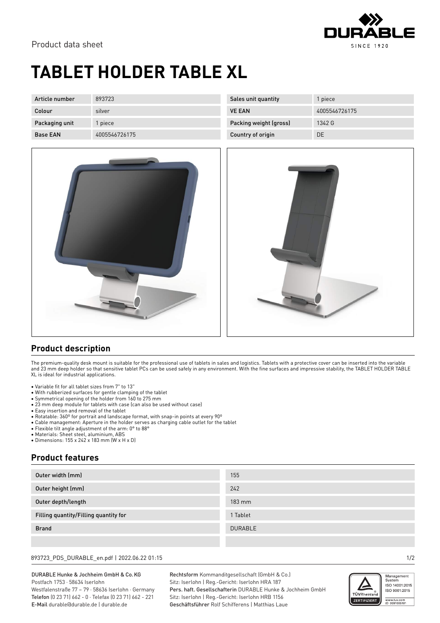

## **TABLET HOLDER TABLE XL**

| Article number  | 893723        | Sales unit quantity    | piece         |
|-----------------|---------------|------------------------|---------------|
| Colour          | silver        | <b>VE EAN</b>          | 4005546726175 |
| Packaging unit  | piece         | Packing weight (gross) | 1342 G        |
| <b>Base EAN</b> | 4005546726175 | Country of origin      | DE            |



## **Product description**

The premium-quality desk mount is suitable for the professional use of tablets in sales and logistics. Tablets with a protective cover can be inserted into the variable and 23 mm deep holder so that sensitive tablet PCs can be used safely in any environment. With the fine surfaces and impressive stability, the TABLET HOLDER TABLE XL is ideal for industrial applications.

- Variable fit for all tablet sizes from 7" to 13"
- With rubberized surfaces for gentle clamping of the tablet
- Symmetrical opening of the holder from 160 to 275 mm
- 23 mm deep module for tablets with case (can also be used without case)
- Easy insertion and removal of the tablet
- Rotatable: 360º for portrait and landscape format, with snap-in points at every 90º
- Cable management: Aperture in the holder serves as charging cable outlet for the tablet
- Flexible tilt angle adjustment of the arm: 0° to 88°
- Materials: Sheet steel, aluminium, ABS
- Dimensions: 155 x 242 x 183 mm (W x H x D)

### **Product features**

| Outer width (mm)                      | 155              |
|---------------------------------------|------------------|
| Outer height (mm)                     | 242              |
| Outer depth/length                    | $183 \text{ mm}$ |
| Filling quantity/Filling quantity for | 1 Tablet         |
| <b>Brand</b>                          | <b>DURABLE</b>   |
|                                       |                  |

### 893723\_PDS\_DURABLE\_en.pdf | 2022.06.22 01:15 1/2

#### DURABLE Hunke & Jochheim GmbH & Co.KG Postfach 1753 · 58634 Iserlohn Westfalenstraße 77 – 79 · 58636 Iserlohn · Germany

Telefon (0 23 71) 662 - 0 · Telefax (0 23 71) 662 - 221 E-Mail durable@durable.de | durable.de

Rechtsform Kommanditgesellschaft (GmbH & Co.) Sitz: Iserlohn | Reg.-Gericht: Iserlohn HRA 187 Pers. haft. Gesellschafterin DURABLE Hunke & Jochheim GmbH Sitz: Iserlohn | Reg.-Gericht: Iserlohn HRB 1156 Geschäftsführer Rolf Schifferens | Matthias Laue